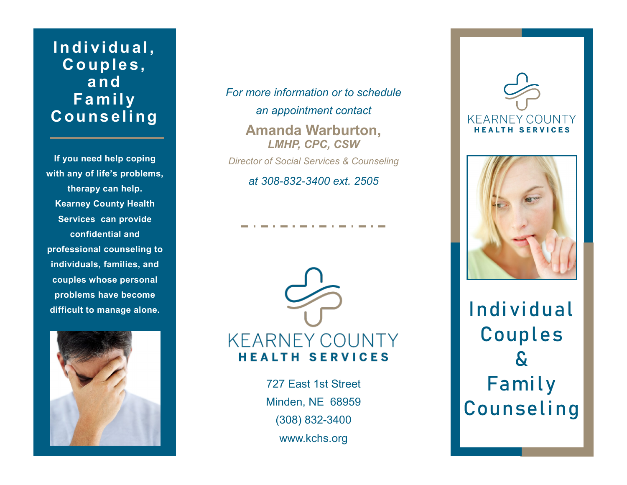## Individual, **C o u p le s , a n d F a m i l y C o u ns e l i ng**

**If you need help coping with any of life's problems, therapy can help. Kearney County Health Services can provide confidential and professional counseling to individuals, families, and couples whose personal problems have become difficult to manage alone.**



*For more information or to schedule an appointment contact* **Amanda Warburton,**  *LMHP, CPC, CSW Director of Social Services & Counseling*

*at 308-832-3400 ext. 2505* 



727 East 1st Street Minden, NE 68959 (308) 832-3400 www.kchs.org





Individual **C o u p l e s & F a m i l y C o u n s e l i n g**